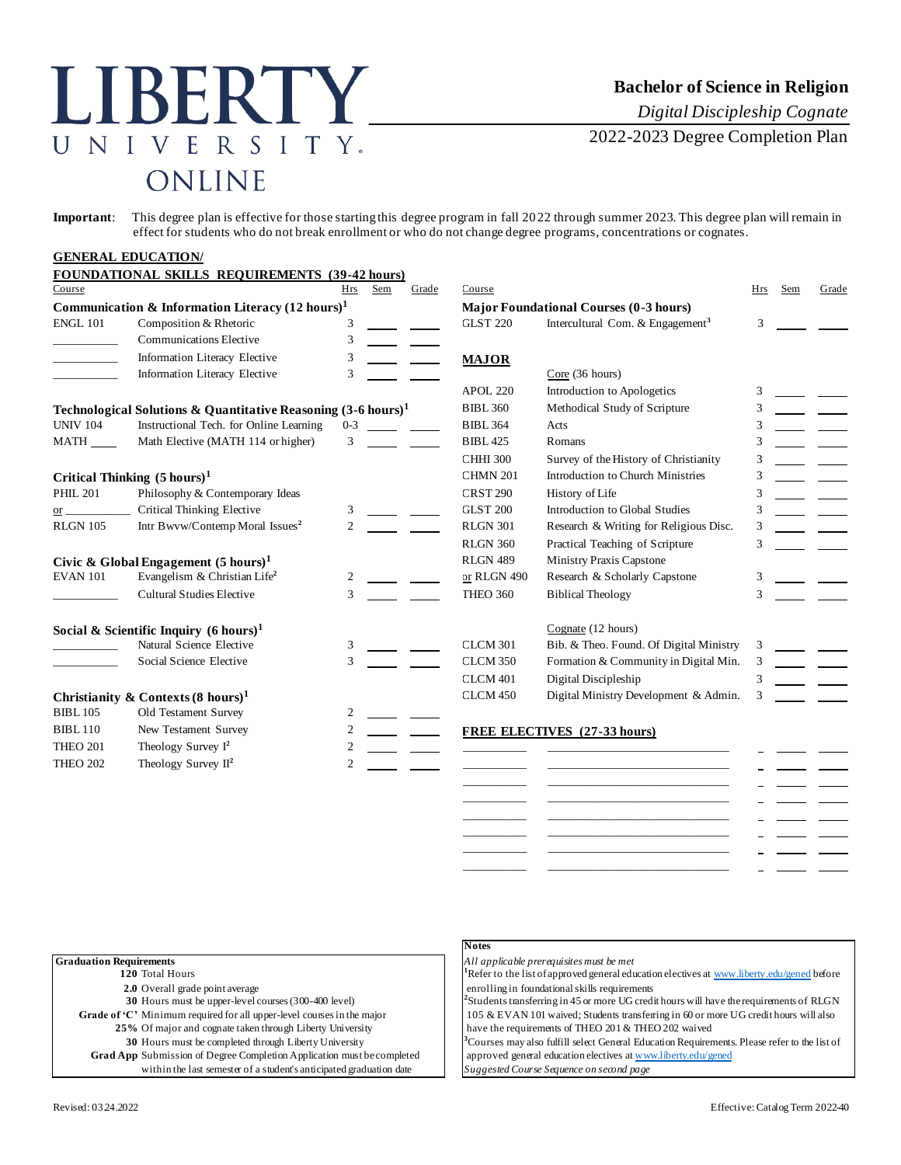### ERT  $\mathbf{I}$ N E R S  $\mathbf{I}$  $T$  $\mathbf{Y}_{\cdot}$ ONLINE

# **Bachelor of Science in Religion**

*Digital Discipleship Cognate*

2022-2023 Degree Completion Plan

**Important**: This degree plan is effective for those starting this degree program in fall 2022 through summer 2023. This degree plan will remain in effect for students who do not break enrollment or who do not change degree programs, concentrations or cognates.

### **GENERAL EDUCATION/ FOUNDATIONAL SKILLS REQUIREMENTS (39-42 hours)** Course Hrs Sem Grade Course Hrs Sem Grade **Communication & Information Literacy (12 hours)<sup>1</sup> Major Foundational Courses (0-3 hours)** ENGL 101 Composition & Rhetoric 3 GLST 220 Intercultural Com. & Engagement<sup>3</sup> 3 \_\_\_\_\_\_\_\_\_\_\_ Communications Elective 3 Information Literacy Elective 3 **MAJOR** Information Literacy Elective 3 Core (36 hours) APOL 220 Introduction to Apologetics 3 **Technological Solutions & Quantitative Reasoning**  $(3-6 \text{ hours})^1$  **BIBL 360 Methodical Study of Scripture 3<br>
UNIV 104 Instructional Tech. for Online Learning 0-3 BIBL 364 Acts** UNIV 104 Instructional Tech. for Online Learning 0-3 18IBL 364 Acts 3 MATH Math Elective (MATH 114 or higher) 3 \_\_\_\_\_\_ BIBL 425 Romans 3 3 CHHI 300 Survey of the History of Christianity 3 **Critical Thinking (5 hours)<sup>1</sup>** CHMN 201 Introduction to Church Ministries 3 PHIL 201 Philosophy & Contemporary Ideas CRST 290 History of Life 3 or Critical Thinking Elective 3 CHST 200 Introduction to Global Studies 3 RLGN 105 Intr Bwvw/Contemp Moral Issues<sup>2</sup> 2 RLGN 301 Research & Writing for Religious Disc. 3 RLGN 360 Practical Teaching of Scripture 3 **Civic & Global Engagement (5 hours)<sup>1</sup> RLGN 489 Ministry Praxis Capstone** EVAN 101 Evangelism & Christian Life**<sup>2</sup>** 2 or RLGN 490 Research & Scholarly Capstone 3 \_\_\_\_\_\_\_\_\_\_\_ Cultural Studies Elective 3 THEO 360 Biblical Theology 3 **Social & Scientific Inquiry (6 hours)<sup>1</sup>** Cognate (12 hours) Natural Science Elective 3 3 CLCM 301 Bib. & Theo. Found. Of Digital Ministry 3 Social Science Elective 3 3 CLCM 350 Formation & Community in Digital Min. 3 CLCM 401 Digital Discipleship 3 **Christianity & Contexts (8 hours)<sup>1</sup>** CLCM 450 Digital Ministry Development & Admin. 3 BIBL 105 Old Testament Survey 2 BIBL 110 New Testament Survey 2 **FREE ELECTIVES (27-33 hours)**<br>THEO 201 Theology Survey 1<sup>2</sup> 2 THEO 201 Theology Survey I<sup>2</sup> 2 \_\_\_\_\_\_\_\_\_\_\_ \_\_\_\_\_\_\_\_\_\_\_\_\_\_\_\_\_\_\_\_\_\_\_\_\_\_\_\_\_\_\_ THEO 202 Theology Survey II<sup>2</sup> 2 \_\_\_\_\_\_\_\_\_\_\_ \_\_\_\_\_\_\_\_\_\_\_\_\_\_\_\_\_\_\_\_\_\_\_\_\_\_\_\_\_\_\_ \_\_\_\_\_\_\_\_\_\_\_ \_\_\_\_\_\_\_\_\_\_\_\_\_\_\_\_\_\_\_\_\_\_\_\_\_\_\_\_\_\_\_ \_\_\_\_\_\_\_\_\_\_\_ \_\_\_\_\_\_\_\_\_\_\_\_\_\_\_\_\_\_\_\_\_\_\_\_\_\_\_\_\_\_\_

|                                                                               | IN OTES            |
|-------------------------------------------------------------------------------|--------------------|
| <b>Graduation Requirements</b>                                                | All ap             |
| 120 Total Hours                                                               | <sup>1</sup> Refer |
| 2.0 Overall grade point average                                               | enrol              |
| 30 Hours must be upper-level courses (300-400 level)                          | <sup>2</sup> Stude |
| Grade of 'C' Minimum required for all upper-level courses in the major        | $105\delta$        |
| 25% Of major and cognate taken through Liberty University                     | have               |
| 30 Hours must be completed through Liberty University                         | $^3$ Cours         |
| <b>Grad App</b> Submission of Degree Completion Application must be completed | appro              |
| within the last semester of a student's anticipated graduation date           | Sugge              |

### **Notes**

**Graduation Requirements** *All applicable prerequisites must be met*

\_\_\_\_\_\_\_\_\_\_\_ \_\_\_\_\_\_\_\_\_\_\_\_\_\_\_\_\_\_\_\_\_\_\_\_\_\_\_\_\_\_\_ \_\_\_\_\_\_\_\_\_\_\_ \_\_\_\_\_\_\_\_\_\_\_\_\_\_\_\_\_\_\_\_\_\_\_\_\_\_\_\_\_\_\_ \_\_\_\_\_\_\_\_\_\_\_ \_\_\_\_\_\_\_\_\_\_\_\_\_\_\_\_\_\_\_\_\_\_\_\_\_\_\_\_\_\_\_ \_\_\_\_\_\_\_\_\_\_\_ \_\_\_\_\_\_\_\_\_\_\_\_\_\_\_\_\_\_\_\_\_\_\_\_\_\_\_\_\_\_\_

to the list of approved general education electives [at www.liberty.edu/gened](http://www.liberty.edu/gened) before ling in foundational skills requirements

ents transferring in 45 or more UG credit hours will have the requirements of RLGN  $\&$  EVAN 101 waived; Students transferring in 60 or more UG credit hours will also the requirements of THEO 201 & THEO 202 waived

ses may also fulfill select General Education Requirements. Please refer to the list of ved general education electives [at www.liberty.edu/gened](http://www.liberty.edu/gened)

within the last semester of a student's anticipated graduation date *Suggested Course Sequence on second page*